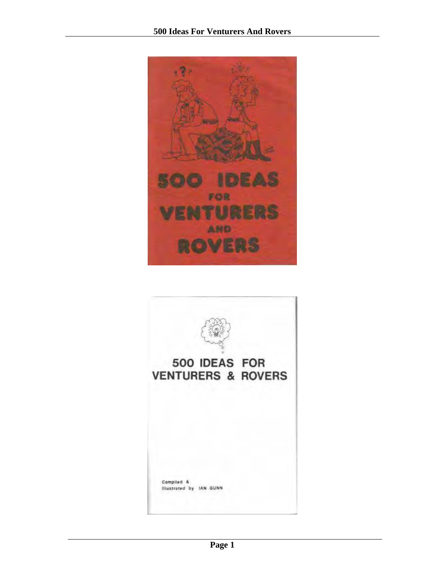

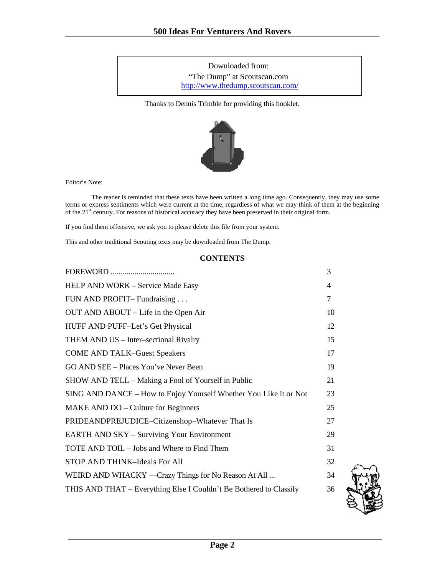Downloaded from: "The Dump" at Scoutscan.com http://www.thedump.scoutscan.com/

Thanks to Dennis Trimble for providing this booklet.



Editor's Note:

 The reader is reminded that these texts have been written a long time ago. Consequently, they may use some terms or express sentiments which were current at the time, regardless of what we may think of them at the beginning of the 21<sup>st</sup> century. For reasons of historical accuracy they have been preserved in their original form.

If you find them offensive, we ask you to please delete this file from your system.

This and other traditional Scouting texts may be downloaded from The Dump.

### **CONTENTS**

|                                                                    | 3  |
|--------------------------------------------------------------------|----|
| HELP AND WORK - Service Made Easy                                  | 4  |
| FUN AND PROFIT-Fundraising                                         | 7  |
| OUT AND ABOUT - Life in the Open Air                               | 10 |
| HUFF AND PUFF-Let's Get Physical                                   | 12 |
| THEM AND US - Inter-sectional Rivalry                              | 15 |
| <b>COME AND TALK-Guest Speakers</b>                                | 17 |
| GO AND SEE – Places You've Never Been                              | 19 |
| SHOW AND TELL – Making a Fool of Yourself in Public                | 21 |
| SING AND DANCE – How to Enjoy Yourself Whether You Like it or Not  | 23 |
| MAKE AND DO – Culture for Beginners                                | 25 |
| PRIDEANDPREJUDICE-Citizenshop-Whatever That Is                     | 27 |
| <b>EARTH AND SKY – Surviving Your Environment</b>                  | 29 |
| TOTE AND TOIL – Jobs and Where to Find Them                        | 31 |
| STOP AND THINK-Ideals For All                                      | 32 |
| WEIRD AND WHACKY —Crazy Things for No Reason At All                | 34 |
| THIS AND THAT – Everything Else I Couldn't Be Bothered to Classify | 36 |
|                                                                    |    |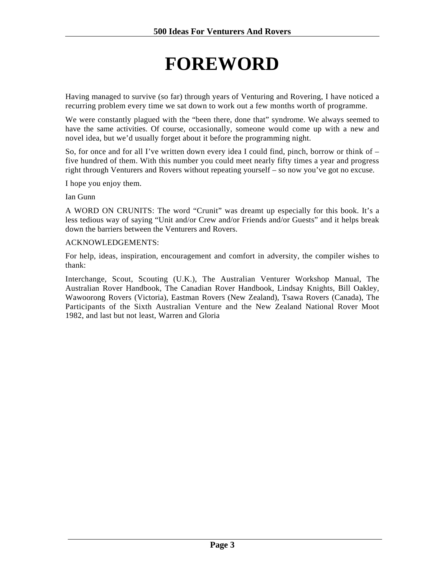# **FOREWORD**

<span id="page-2-0"></span>Having managed to survive (so far) through years of Venturing and Rovering, I have noticed a recurring problem every time we sat down to work out a few months worth of programme.

We were constantly plagued with the "been there, done that" syndrome. We always seemed to have the same activities. Of course, occasionally, someone would come up with a new and novel idea, but we'd usually forget about it before the programming night.

So, for once and for all I've written down every idea I could find, pinch, borrow or think of – five hundred of them. With this number you could meet nearly fifty times a year and progress right through Venturers and Rovers without repeating yourself – so now you've got no excuse.

I hope you enjoy them.

Ian Gunn

A WORD ON CRUNITS: The word "Crunit" was dreamt up especially for this book. It's a less tedious way of saying "Unit and/or Crew and/or Friends and/or Guests" and it helps break down the barriers between the Venturers and Rovers.

### ACKNOWLEDGEMENTS:

For help, ideas, inspiration, encouragement and comfort in adversity, the compiler wishes to thank:

Interchange, Scout, Scouting (U.K.), The Australian Venturer Workshop Manual, The Australian Rover Handbook, The Canadian Rover Handbook, Lindsay Knights, Bill Oakley, Wawoorong Rovers (Victoria), Eastman Rovers (New Zealand), Tsawa Rovers (Canada), The Participants of the Sixth Australian Venture and the New Zealand National Rover Moot 1982, and last but not least, Warren and Gloria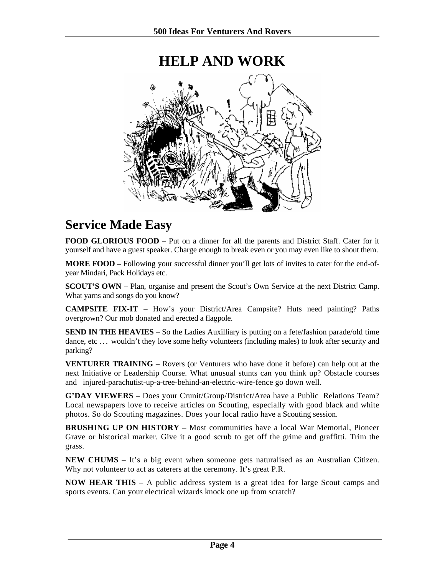# **HELP AND WORK**

### **Service Made Easy**

**FOOD GLORIOUS FOOD** – Put on a dinner for all the parents and District Staff. Cater for it yourself and have a guest speaker. Charge enough to break even or you may even like to shout them.

**MORE FOOD –** Following your successful dinner you'll get lots of invites to cater for the end-ofyear Mindari, Pack Holidays etc.

**SCOUT'S OWN** – Plan, organise and present the Scout's Own Service at the next District Camp. What yarns and songs do you know?

**CAMPSITE FIX-IT** – How's your District/Area Campsite? Huts need painting? Paths overgrown? Our mob donated and erected a flagpole.

**SEND IN THE HEAVIES** – So the Ladies Auxilliary is putting on a fete/fashion parade/old time dance, etc ... wouldn't they love some hefty volunteers (including males) to look after security and parking?

**VENTURER TRAINING** – Rovers (or Venturers who have done it before) can help out at the next Initiative or Leadership Course. What unusual stunts can you think up? Obstacle courses and injured-parachutist-up-a-tree-behind-an-electric-wire-fence go down well.

**G'DAY VIEWERS** – Does your Crunit/Group/District/Area have a Public Relations Team? Local newspapers love to receive articles on Scouting, especially with good black and white photos. So do Scouting magazines. Does your local radio have a Scouting session.

**BRUSHING UP ON HISTORY** – Most communities have a local War Memorial, Pioneer Grave or historical marker. Give it a good scrub to get off the grime and graffitti. Trim the grass.

**NEW CHUMS** – It's a big event when someone gets naturalised as an Australian Citizen. Why not volunteer to act as caterers at the ceremony. It's great P.R.

**NOW HEAR THIS** – A public address system is a great idea for large Scout camps and sports events. Can your electrical wizards knock one up from scratch?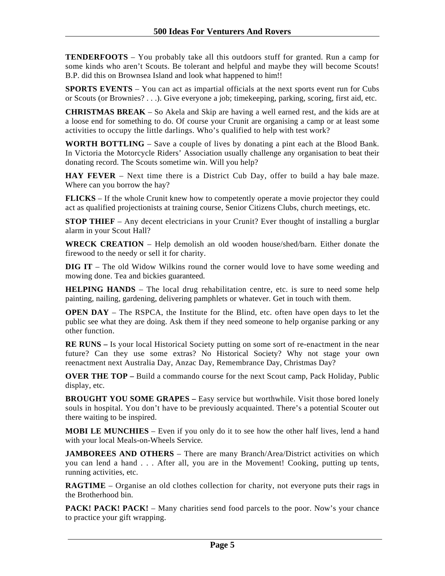**TENDERFOOTS** – You probably take all this outdoors stuff for granted. Run a camp for some kinds who aren't Scouts. Be tolerant and helpful and maybe they will become Scouts! B.P. did this on Brownsea Island and look what happened to him!!

**SPORTS EVENTS** – You can act as impartial officials at the next sports event run for Cubs or Scouts (or Brownies? . . .). Give everyone a job; timekeeping, parking, scoring, first aid, etc.

**CHRISTMAS BREAK** – So Akela and Skip are having a well earned rest, and the kids are at a loose end for something to do. Of course your Crunit are organising a camp or at least some activities to occupy the little darlings. Who's qualified to help with test work?

**WORTH BOTTLING** – Save a couple of lives by donating a pint each at the Blood Bank. In Victoria the Motorcycle Riders' Association usually challenge any organisation to beat their donating record. The Scouts sometime win. Will you help?

**HAY FEVER** – Next time there is a District Cub Day, offer to build a hay bale maze. Where can you borrow the hay?

**FLICKS** – If the whole Crunit knew how to competently operate a movie projector they could act as qualified projectionists at training course, Senior Citizens Clubs, church meetings, etc.

**STOP THIEF** – Any decent electricians in your Crunit? Ever thought of installing a burglar alarm in your Scout Hall?

**WRECK CREATION** – Help demolish an old wooden house/shed/barn. Either donate the firewood to the needy or sell it for charity.

**DIG IT** – The old Widow Wilkins round the corner would love to have some weeding and mowing done. Tea and bickies guaranteed.

**HELPING HANDS** – The local drug rehabilitation centre, etc. is sure to need some help painting, nailing, gardening, delivering pamphlets or whatever. Get in touch with them.

**OPEN DAY** – The RSPCA, the Institute for the Blind, etc. often have open days to let the public see what they are doing. Ask them if they need someone to help organise parking or any other function.

**RE RUNS** – Is your local Historical Society putting on some sort of re-enactment in the near future? Can they use some extras? No Historical Society? Why not stage your own reenactment next Australia Day, Anzac Day, Remembrance Day, Christmas Day?

**OVER THE TOP –** Build a commando course for the next Scout camp, Pack Holiday, Public display, etc.

**BROUGHT YOU SOME GRAPES –** Easy service but worthwhile. Visit those bored lonely souls in hospital. You don't have to be previously acquainted. There's a potential Scouter out there waiting to be inspired.

**MOBI LE MUNCHIES** – Even if you only do it to see how the other half lives, lend a hand with your local Meals-on-Wheels Service.

**JAMBOREES AND OTHERS** – There are many Branch/Area/District activities on which you can lend a hand . . . After all, you are in the Movement! Cooking, putting up tents, running activities, etc.

**RAGTIME** – Organise an old clothes collection for charity, not everyone puts their rags in the Brotherhood bin.

**PACK! PACK! PACK!** – Many charities send food parcels to the poor. Now's your chance to practice your gift wrapping.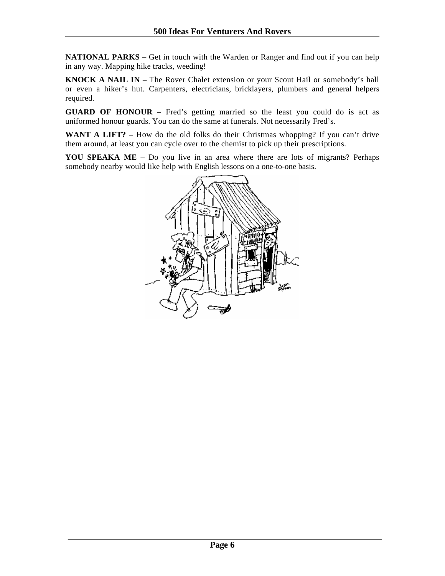**NATIONAL PARKS** – Get in touch with the Warden or Ranger and find out if you can help in any way. Mapping hike tracks, weeding!

**KNOCK A NAIL IN – The Rover Chalet extension or your Scout Hail or somebody's hall** or even a hiker's hut. Carpenters, electricians, bricklayers, plumbers and general helpers required.

**GUARD OF HONOUR –** Fred's getting married so the least you could do is act as uniformed honour guards. You can do the same at funerals. Not necessarily Fred's.

WANT A LIFT? – How do the old folks do their Christmas whopping? If you can't drive them around, at least you can cycle over to the chemist to pick up their prescriptions.

**YOU SPEAKA ME** – Do you live in an area where there are lots of migrants? Perhaps somebody nearby would like help with English lessons on a one-to-one basis.

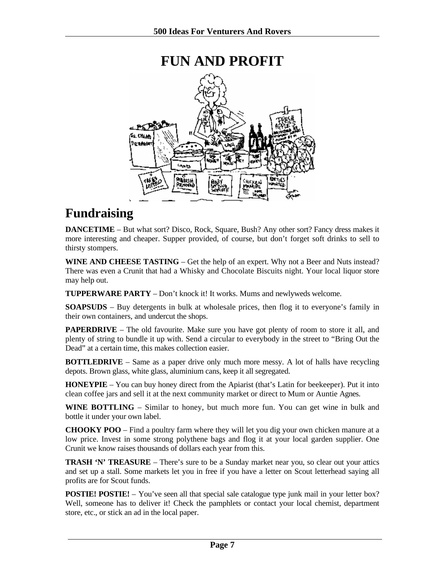<span id="page-6-0"></span>

## **Fundraising**

**DANCETIME** – But what sort? Disco, Rock, Square, Bush? Any other sort? Fancy dress makes it more interesting and cheaper. Supper provided, of course, but don't forget soft drinks to sell to thirsty stompers.

**WINE AND CHEESE TASTING** – Get the help of an expert. Why not a Beer and Nuts instead? There was even a Crunit that had a Whisky and Chocolate Biscuits night. Your local liquor store may help out.

**TUPPERWARE PARTY** – Don't knock it! It works. Mums and newlyweds welcome.

**SOAPSUDS** – Buy detergents in bulk at wholesale prices, then flog it to everyone's family in their own containers, and undercut the shops.

**PAPERDRIVE** – The old favourite. Make sure you have got plenty of room to store it all, and plenty of string to bundle it up with. Send a circular to everybody in the street to "Bring Out the Dead" at a certain time, this makes collection easier.

**BOTTLEDRIVE** – Same as a paper drive only much more messy. A lot of halls have recycling depots. Brown glass, white glass, aluminium cans, keep it all segregated.

**HONEYPIE** – You can buy honey direct from the Apiarist (that's Latin for beekeeper). Put it into clean coffee jars and sell it at the next community market or direct to Mum or Auntie Agnes.

**WINE BOTTLING** – Similar to honey, but much more fun. You can get wine in bulk and bottle it under your own label.

**CHOOKY POO** – Find a poultry farm where they will let you dig your own chicken manure at a low price. Invest in some strong polythene bags and flog it at your local garden supplier. One Crunit we know raises thousands of dollars each year from this.

**TRASH 'N' TREASURE** – There's sure to be a Sunday market near you, so clear out your attics and set up a stall. Some markets let you in free if you have a letter on Scout letterhead saying all profits are for Scout funds.

**POSTIE! POSTIE!** – You've seen all that special sale catalogue type junk mail in your letter box? Well, someone has to deliver it! Check the pamphlets or contact your local chemist, department store, etc., or stick an ad in the local paper.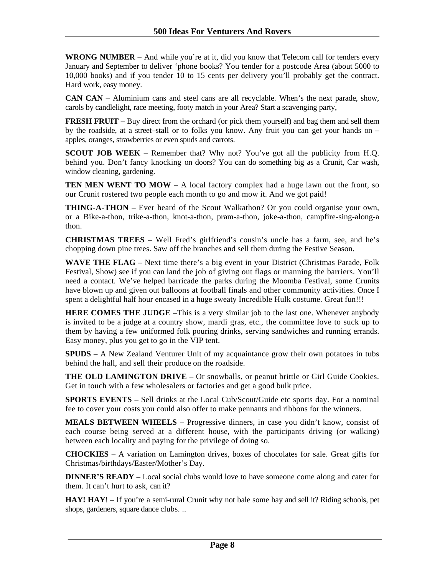**WRONG NUMBER** – And while you're at it, did you know that Telecom call for tenders every January and September to deliver 'phone books? You tender for a postcode Area (about 5000 to 10,000 books) and if you tender 10 to 15 cents per delivery you'll probably get the contract. Hard work, easy money.

**CAN CAN** – Aluminium cans and steel cans are all recyclable. When's the next parade, show, carols by candlelight, race meeting, footy match in your Area? Start a scavenging party,

**FRESH FRUIT** – Buy direct from the orchard (or pick them yourself) and bag them and sell them by the roadside, at a street–stall or to folks you know. Any fruit you can get your hands on – apples, oranges, strawberries or even spuds and carrots.

**SCOUT JOB WEEK** – Remember that? Why not? You've got all the publicity from H.O. behind you. Don't fancy knocking on doors? You can do something big as a Crunit, Car wash, window cleaning, gardening.

**TEN MEN WENT TO MOW** – A local factory complex had a huge lawn out the front, so our Crunit rostered two people each month to go and mow it. And we got paid!

**THING-A-THON** – Ever heard of the Scout Walkathon? Or you could organise your own, or a Bike-a-thon, trike-a-thon, knot-a-thon, pram-a-thon, joke-a-thon, campfire-sing-along-a thon.

**CHRISTMAS TREES** – Well Fred's girlfriend's cousin's uncle has a farm, see, and he's chopping down pine trees. Saw off the branches and sell them during the Festive Season.

**WAVE THE FLAG** – Next time there's a big event in your District (Christmas Parade, Folk Festival, Show) see if you can land the job of giving out flags or manning the barriers. You'll need a contact. We've helped barricade the parks during the Moomba Festival, some Crunits have blown up and given out balloons at football finals and other community activities. Once I spent a delightful half hour encased in a huge sweaty Incredible Hulk costume. Great fun!!!

**HERE COMES THE JUDGE** –This is a very similar job to the last one. Whenever anybody is invited to be a judge at a country show, mardi gras, etc., the committee love to suck up to them by having a few uniformed folk pouring drinks, serving sandwiches and running errands. Easy money, plus you get to go in the VIP tent.

**SPUDS** – A New Zealand Venturer Unit of my acquaintance grow their own potatoes in tubs behind the hall, and sell their produce on the roadside.

**THE OLD LAMINGTON DRIVE** – Or snowballs, or peanut brittle or Girl Guide Cookies. Get in touch with a few wholesalers or factories and get a good bulk price.

**SPORTS EVENTS** – Sell drinks at the Local Cub/Scout/Guide etc sports day. For a nominal fee to cover your costs you could also offer to make pennants and ribbons for the winners.

**MEALS BETWEEN WHEELS** – Progressive dinners, in case you didn't know, consist of each course being served at a different house, with the participants driving (or walking) between each locality and paying for the privilege of doing so.

**CHOCKIES** – A variation on Lamington drives, boxes of chocolates for sale. Great gifts for Christmas/birthdays/Easter/Mother's Day.

**DINNER'S READY** – Local social clubs would love to have someone come along and cater for them. It can't hurt to ask, can it?

**HAY! HAY**! – If you're a semi-rural Crunit why not bale some hay and sell it? Riding schools, pet shops, gardeners, square dance clubs. ..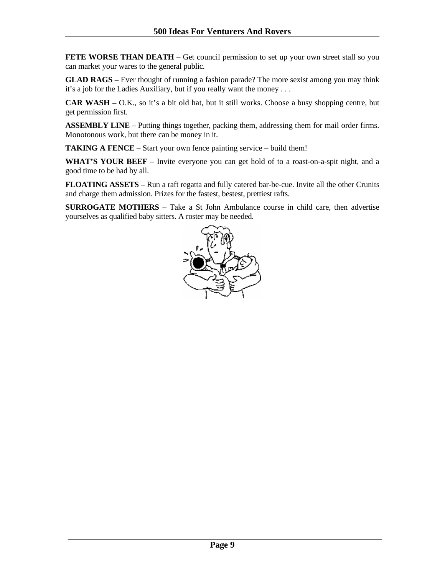**FETE WORSE THAN DEATH** – Get council permission to set up your own street stall so you can market your wares to the general public.

**GLAD RAGS** – Ever thought of running a fashion parade? The more sexist among you may think it's a job for the Ladies Auxiliary, but if you really want the money . . .

**CAR WASH** – O.K., so it's a bit old hat, but it still works. Choose a busy shopping centre, but get permission first.

**ASSEMBLY LINE** – Putting things together, packing them, addressing them for mail order firms. Monotonous work, but there can be money in it.

**TAKING A FENCE** – Start your own fence painting service – build them!

WHAT'S YOUR BEEF – Invite everyone you can get hold of to a roast-on-a-spit night, and a good time to be had by all.

**FLOATING ASSETS** – Run a raft regatta and fully catered bar-be-cue. Invite all the other Crunits and charge them admission. Prizes for the fastest, bestest, prettiest rafts.

**SURROGATE MOTHERS** – Take a St John Ambulance course in child care, then advertise yourselves as qualified baby sitters. A roster may be needed.

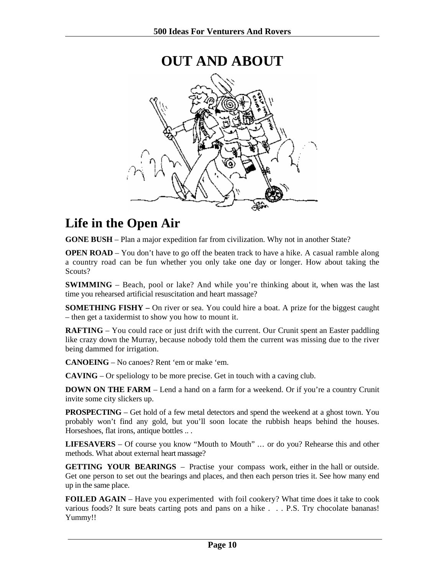<span id="page-9-0"></span>

### **Life in the Open Air**

**GONE BUSH** – Plan a major expedition far from civilization. Why not in another State?

**OPEN ROAD** – You don't have to go off the beaten track to have a hike. A casual ramble along a country road can be fun whether you only take one day or longer. How about taking the Scouts?

**SWIMMING** – Beach, pool or lake? And while you're thinking about it, when was the last time you rehearsed artificial resuscitation and heart massage?

**SOMETHING FISHY** – On river or sea. You could hire a boat. A prize for the biggest caught – then get a taxidermist to show you how to mount it.

**RAFTING** – You could race or just drift with the current. Our Crunit spent an Easter paddling like crazy down the Murray, because nobody told them the current was missing due to the river being dammed for irrigation.

**CANOEING** – No canoes? Rent 'em or make 'em.

**CAVING** – Or speliology to be more precise. Get in touch with a caving club.

**DOWN ON THE FARM** – Lend a hand on a farm for a weekend. Or if you're a country Crunit invite some city slickers up.

**PROSPECTING** – Get hold of a few metal detectors and spend the weekend at a ghost town. You probably won't find any gold, but you'll soon locate the rubbish heaps behind the houses. Horseshoes, flat irons, antique bottles .. .

LIFESAVERS – Of course you know "Mouth to Mouth" ... or do you? Rehearse this and other methods. What about external heart massage?

**GETTING YOUR BEARINGS** – Practise your compass work, either in the hall or outside. Get one person to set out the bearings and places, and then each person tries it. See how many end up in the same place.

**FOILED AGAIN** – Have you experimented with foil cookery? What time does it take to cook various foods? It sure beats carting pots and pans on a hike . . . P.S. Try chocolate bananas! Yummy!!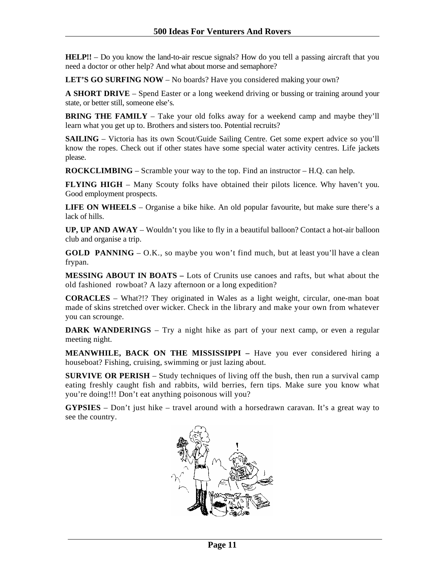**HELP!!** – Do you know the land-to-air rescue signals? How do you tell a passing aircraft that you need a doctor or other help? And what about morse and semaphore?

LET'S GO SURFING NOW – No boards? Have you considered making your own?

**A SHORT DRIVE** – Spend Easter or a long weekend driving or bussing or training around your state, or better still, someone else's.

**BRING THE FAMILY** – Take your old folks away for a weekend camp and maybe they'll learn what you get up to. Brothers and sisters too. Potential recruits?

**SAILING** – Victoria has its own Scout/Guide Sailing Centre. Get some expert advice so you'll know the ropes. Check out if other states have some special water activity centres. Life jackets please.

**ROCKCLIMBING** – Scramble your way to the top. Find an instructor – H.Q. can help.

**FLYING HIGH** – Many Scouty folks have obtained their pilots licence. Why haven't you. Good employment prospects.

**LIFE ON WHEELS** – Organise a bike hike. An old popular favourite, but make sure there's a lack of hills.

**UP, UP AND AWAY** – Wouldn't you like to fly in a beautiful balloon? Contact a hot-air balloon club and organise a trip.

**GOLD PANNING** – O.K., so maybe you won't find much, but at least you'll have a clean frypan.

**MESSING ABOUT IN BOATS –** Lots of Crunits use canoes and rafts, but what about the old fashioned rowboat? A lazy afternoon or a long expedition?

**CORACLES** – What?!? They originated in Wales as a light weight, circular, one-man boat made of skins stretched over wicker. Check in the library and make your own from whatever you can scrounge.

**DARK WANDERINGS** – Try a night hike as part of your next camp, or even a regular meeting night.

**MEANWHILE, BACK ON THE MISSISSIPPI –** Have you ever considered hiring a houseboat? Fishing, cruising, swimming or just lazing about.

**SURVIVE OR PERISH** – Study techniques of living off the bush, then run a survival camp eating freshly caught fish and rabbits, wild berries, fern tips. Make sure you know what you're doing!!! Don't eat anything poisonous will you?

**GYPSIES** – Don't just hike – travel around with a horsedrawn caravan. It's a great way to see the country.

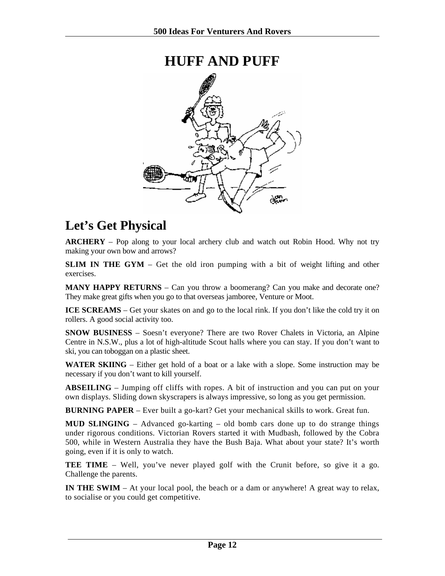### **HUFF AND PUFF**

<span id="page-11-0"></span>

### **Let's Get Physical**

**ARCHERY** – Pop along to your local archery club and watch out Robin Hood. Why not try making your own bow and arrows?

**SLIM IN THE GYM** – Get the old iron pumping with a bit of weight lifting and other exercises.

**MANY HAPPY RETURNS** – Can you throw a boomerang? Can you make and decorate one? They make great gifts when you go to that overseas jamboree, Venture or Moot.

**ICE SCREAMS** – Get your skates on and go to the local rink. If you don't like the cold try it on rollers. A good social activity too.

**SNOW BUSINESS** – Soesn't everyone? There are two Rover Chalets in Victoria, an Alpine Centre in N.S.W., plus a lot of high-altitude Scout halls where you can stay. If you don't want to ski, you can toboggan on a plastic sheet.

**WATER SKIING** – Either get hold of a boat or a lake with a slope. Some instruction may be necessary if you don't want to kill yourself.

**ABSEILING** *–* Jumping off cliffs with ropes. A bit of instruction and you can put on your own displays. Sliding down skyscrapers is always impressive, so long as you get permission.

**BURNING PAPER** – Ever built a go-kart? Get your mechanical skills to work. Great fun.

**MUD SLINGING** – Advanced go-karting – old bomb cars done up to do strange things under rigorous conditions. Victorian Rovers started it with Mudbash, followed by the Cobra 500, while in Western Australia they have the Bush Baja. What about your state? It's worth going, even if it is only to watch.

**TEE TIME** – Well, you've never played golf with the Crunit before, so give it a go. Challenge the parents.

**IN THE SWIM** – At your local pool, the beach or a dam or anywhere! A great way to relax, to socialise or you could get competitive.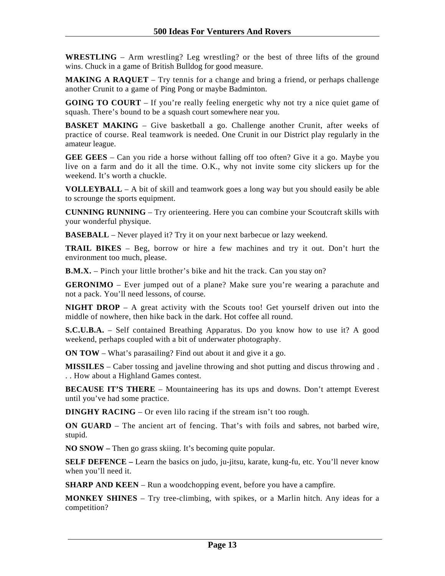**WRESTLING** – Arm wrestling? Leg wrestling? or the best of three lifts of the ground wins. Chuck in a game of British Bulldog for good measure.

**MAKING A RAQUET** – Try tennis for a change and bring a friend, or perhaps challenge another Crunit to a game of Ping Pong or maybe Badminton.

**GOING TO COURT** – If you're really feeling energetic why not try a nice quiet game of squash. There's bound to be a squash court somewhere near you.

**BASKET MAKING** – Give basketball a go. Challenge another Crunit, after weeks of practice of course. Real teamwork is needed. One Crunit in our District play regularly in the amateur league.

**GEE GEES** – Can you ride a horse without falling off too often? Give it a go. Maybe you live on a farm and do it all the time. O.K., why not invite some city slickers up for the weekend. It's worth a chuckle.

**VOLLEYBALL** – A bit of skill and teamwork goes a long way but you should easily be able to scrounge the sports equipment.

**CUNNING RUNNING** – Try orienteering. Here you can combine your Scoutcraft skills with your wonderful physique.

**BASEBALL** – Never played it? Try it on your next barbecue or lazy weekend.

**TRAIL BIKES** – Beg, borrow or hire a few machines and try it out. Don't hurt the environment too much, please.

**B.M.X.** – Pinch your little brother's bike and hit the track. Can you stay on?

**GERONIMO** – Ever jumped out of a plane? Make sure you're wearing a parachute and not a pack. You'll need lessons, of course.

**NIGHT DROP** – A great activity with the Scouts too! Get yourself driven out into the middle of nowhere, then hike back in the dark. Hot coffee all round.

**S.C.U.B.A.** – Self contained Breathing Apparatus. Do you know how to use it? A good weekend, perhaps coupled with a bit of underwater photography.

**ON TOW** – What's parasailing? Find out about it and give it a go.

**MISSILES** – Caber tossing and javeline throwing and shot putting and discus throwing and . . . How about a Highland Games contest.

**BECAUSE IT'S THERE** – Mountaineering has its ups and downs. Don't attempt Everest until you've had some practice.

**DINGHY RACING** – Or even lilo racing if the stream isn't too rough.

**ON GUARD** – The ancient art of fencing. That's with foils and sabres, not barbed wire, stupid.

**NO SNOW –** Then go grass skiing. It's becoming quite popular.

**SELF DEFENCE –** Learn the basics on judo, ju-jitsu, karate, kung-fu, etc. You'll never know when you'll need it.

**SHARP AND KEEN** – Run a woodchopping event, before you have a campfire.

**MONKEY SHINES** – Try tree-climbing, with spikes, or a Marlin hitch. Any ideas for a competition?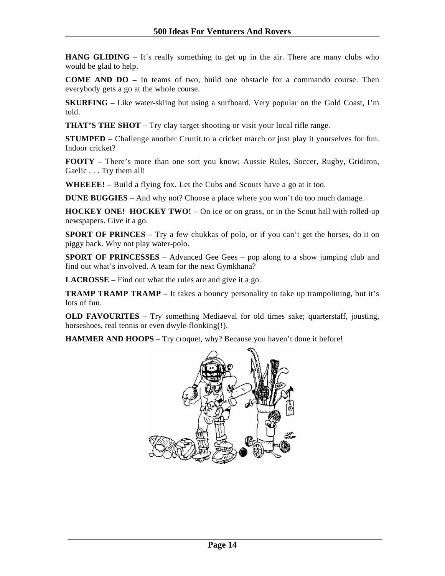**HANG GLIDING** – It's really something to get up in the air. There are many clubs who would be glad to help.

**COME AND DO –** In teams of two, build one obstacle for a commando course. Then everybody gets a go at the whole course.

**SKURFING** – Like water-skiing but using a surfboard. Very popular on the Gold Coast, I'm told.

**THAT'S THE SHOT** – Try clay target shooting or visit your local rifle range.

**STUMPED** *–* Challenge another Crunit to a cricket march or just play it yourselves for fun. Indoor cricket?

**FOOTY –** There's more than one sort you know; Aussie Rules, Soccer, Rugby, Gridiron, Gaelic . . . Try them all!

**WHEEEE!** – Build a flying fox. Let the Cubs and Scouts have a go at it too.

**DUNE BUGGIES** – And why not? Choose a place where you won't do too much damage.

**HOCKEY ONE! HOCKEY TWO!** – On ice or on grass, or in the Scout hall with rolled-up newspapers. Give it a go.

**SPORT OF PRINCES** – Try a few chukkas of polo, or if you can't get the horses, do it on piggy back. Why not play water-polo.

**SPORT OF PRINCESSES** – Advanced Gee Gees – pop along to a show jumping club and find out what's involved. A team for the next Gymkhana?

**LACROSSE** – Find out what the rules are and give it a go.

**TRAMP TRAMP TRAMP** – It takes a bouncy personality to take up trampolining, but it's lots of fun.

**OLD FAVOURITES** – Try something Mediaeval for old times sake; quarterstaff, jousting, horseshoes, real tennis or even dwyle-flonking(!).

**HAMMER AND HOOPS** – Try croquet, why? Because you haven't done it before!

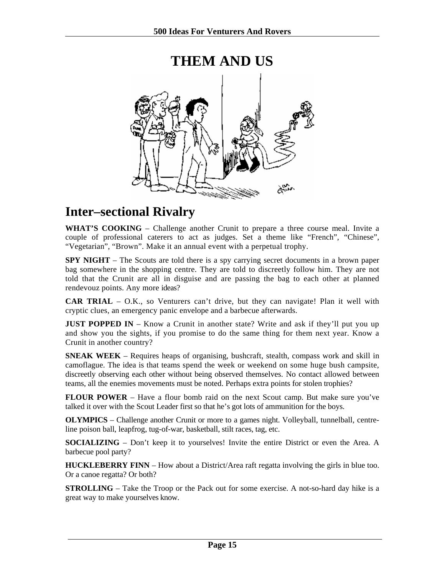<span id="page-14-0"></span>

### **Inter–sectional Rivalry**

**WHAT'S COOKING** – Challenge another Crunit to prepare a three course meal. Invite a couple of professional caterers to act as judges. Set a theme like "French", "Chinese", "Vegetarian", "Brown". Make it an annual event with a perpetual trophy.

**SPY NIGHT** – The Scouts are told there is a spy carrying secret documents in a brown paper bag somewhere in the shopping centre. They are told to discreetly follow him. They are not told that the Crunit are all in disguise and are passing the bag to each other at planned rendevouz points. Any more ideas?

**CAR TRIAL** – O.K., so Venturers can't drive, but they can navigate! Plan it well with cryptic clues, an emergency panic envelope and a barbecue afterwards.

**JUST POPPED IN** – Know a Crunit in another state? Write and ask if they'll put you up and show you the sights, if you promise to do the same thing for them next year. Know a Crunit in another country?

**SNEAK WEEK** – Requires heaps of organising, bushcraft, stealth, compass work and skill in camoflague. The idea is that teams spend the week or weekend on some huge bush campsite, discreetly observing each other without being observed themselves. No contact allowed between teams, all the enemies movements must be noted. Perhaps extra points for stolen trophies?

**FLOUR POWER** – Have a flour bomb raid on the next Scout camp. But make sure you've talked it over with the Scout Leader first so that he's got lots of ammunition for the boys.

**OLYMPICS** – Challenge another Crunit or more to a games night. Volleyball, tunnelball, centreline poison ball, leapfrog, tug-of-war, basketball, stilt races, tag, etc.

**SOCIALIZING** – Don't keep it to yourselves! Invite the entire District or even the Area. A barbecue pool party?

**HUCKLEBERRY FINN** – How about a District/Area raft regatta involving the girls in blue too. Or a canoe regatta? Or both?

**STROLLING** – Take the Troop or the Pack out for some exercise. A not-so-hard day hike is a great way to make yourselves know.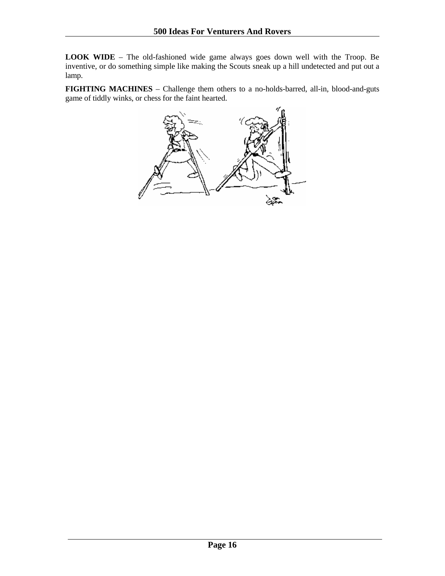**LOOK WIDE** – The old-fashioned wide game always goes down well with the Troop. Be inventive, or do something simple like making the Scouts sneak up a hill undetected and put out a lamp.

**FIGHTING MACHINES** – Challenge them others to a no-holds-barred, all-in, blood-and-guts game of tiddly winks, or chess for the faint hearted.

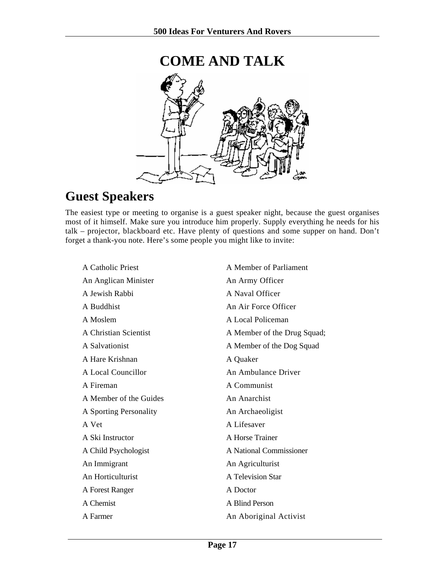<span id="page-16-0"></span>

## **Guest Speakers**

The easiest type or meeting to organise is a guest speaker night, because the guest organises most of it himself. Make sure you introduce him properly. Supply everything he needs for his talk – projector, blackboard etc. Have plenty of questions and some supper on hand. Don't forget a thank-you note. Here's some people you might like to invite:

| A Catholic Priest      | A Member of Parliament      |
|------------------------|-----------------------------|
| An Anglican Minister   | An Army Officer             |
| A Jewish Rabbi         | A Naval Officer             |
| A Buddhist             | An Air Force Officer        |
| A Moslem               | A Local Policeman           |
| A Christian Scientist  | A Member of the Drug Squad; |
| A Salvationist         | A Member of the Dog Squad   |
| A Hare Krishnan        | A Quaker                    |
| A Local Councillor     | An Ambulance Driver         |
| A Fireman              | A Communist                 |
| A Member of the Guides | An Anarchist                |
| A Sporting Personality | An Archaeoligist            |
| A Vet                  | A Lifesaver                 |
| A Ski Instructor       | A Horse Trainer             |
| A Child Psychologist   | A National Commissioner     |
| An Immigrant           | An Agriculturist            |
| An Horticulturist      | A Television Star           |
| A Forest Ranger        | A Doctor                    |
| A Chemist              | A Blind Person              |
| A Farmer               | An Aboriginal Activist      |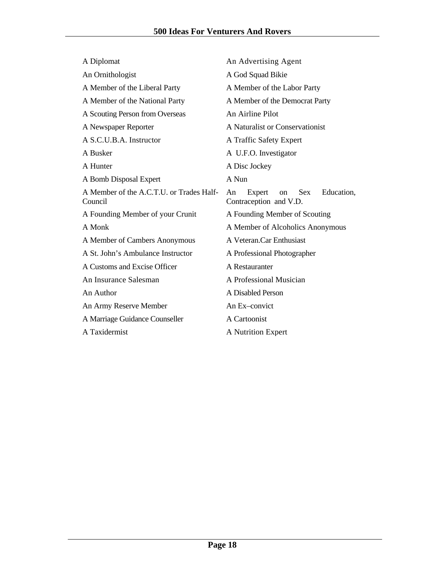| A Diplomat                                          | An Advertising Agent                                                     |
|-----------------------------------------------------|--------------------------------------------------------------------------|
| An Ornithologist                                    | A God Squad Bikie                                                        |
| A Member of the Liberal Party                       | A Member of the Labor Party                                              |
| A Member of the National Party                      | A Member of the Democrat Party                                           |
| A Scouting Person from Overseas                     | An Airline Pilot                                                         |
| A Newspaper Reporter                                | A Naturalist or Conservationist                                          |
| A S.C.U.B.A. Instructor                             | A Traffic Safety Expert                                                  |
| A Busker                                            | A U.F.O. Investigator                                                    |
| A Hunter                                            | A Disc Jockey                                                            |
| A Bomb Disposal Expert                              | A Nun                                                                    |
| A Member of the A.C.T.U. or Trades Half-<br>Council | <b>Sex</b><br>Education,<br>Expert<br>An<br>on<br>Contraception and V.D. |
| A Founding Member of your Crunit                    | A Founding Member of Scouting                                            |
| A Monk                                              | A Member of Alcoholics Anonymous                                         |
| A Member of Cambers Anonymous                       | A Veteran.Car Enthusiast                                                 |
| A St. John's Ambulance Instructor                   | A Professional Photographer                                              |
| A Customs and Excise Officer                        | A Restauranter                                                           |
| An Insurance Salesman                               | A Professional Musician                                                  |
| An Author                                           | A Disabled Person                                                        |
|                                                     |                                                                          |
| An Army Reserve Member                              | An Ex-convict                                                            |
| A Marriage Guidance Counseller                      | A Cartoonist                                                             |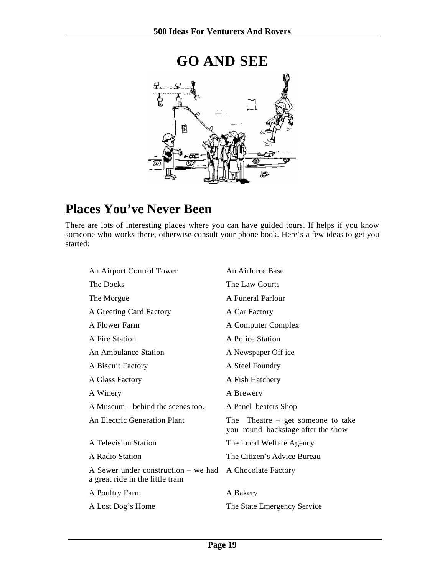<span id="page-18-0"></span>

### **Places You've Never Been**

There are lots of interesting places where you can have guided tours. If helps if you know someone who works there, otherwise consult your phone book. Here's a few ideas to get you started:

| An Airforce Base                                                             |
|------------------------------------------------------------------------------|
| The Law Courts                                                               |
| A Funeral Parlour                                                            |
| A Car Factory                                                                |
| A Computer Complex                                                           |
| A Police Station                                                             |
| A Newspaper Off ice                                                          |
| A Steel Foundry                                                              |
| A Fish Hatchery                                                              |
| A Brewery                                                                    |
| A Panel-beaters Shop                                                         |
| The<br>Theatre $-$ get someone to take<br>you round backstage after the show |
| The Local Welfare Agency                                                     |
| The Citizen's Advice Bureau                                                  |
| A Chocolate Factory                                                          |
| A Bakery                                                                     |
| The State Emergency Service                                                  |
|                                                                              |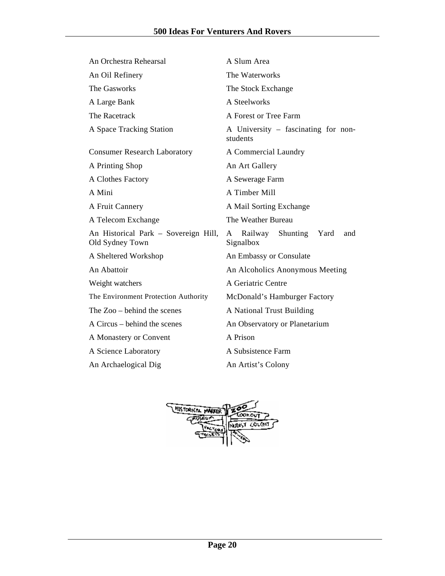| An Orchestra Rehearsal                                  | A Slum Area                                       |  |
|---------------------------------------------------------|---------------------------------------------------|--|
| An Oil Refinery                                         | The Waterworks                                    |  |
| The Gasworks                                            | The Stock Exchange                                |  |
| A Large Bank                                            | A Steelworks                                      |  |
| The Racetrack                                           | A Forest or Tree Farm                             |  |
| A Space Tracking Station                                | A University – fascinating for non-<br>students   |  |
| <b>Consumer Research Laboratory</b>                     | A Commercial Laundry                              |  |
| A Printing Shop                                         | An Art Gallery                                    |  |
| A Clothes Factory                                       | A Sewerage Farm                                   |  |
| A Mini                                                  | A Timber Mill                                     |  |
| A Fruit Cannery                                         | A Mail Sorting Exchange                           |  |
| A Telecom Exchange                                      | The Weather Bureau                                |  |
| An Historical Park – Sovereign Hill,<br>Old Sydney Town | Shunting Yard<br>Railway<br>A<br>and<br>Signalbox |  |
| A Sheltered Workshop                                    | An Embassy or Consulate                           |  |
| An Abattoir                                             | An Alcoholics Anonymous Meeting                   |  |
| Weight watchers                                         | A Geriatric Centre                                |  |
| The Environment Protection Authority                    | McDonald's Hamburger Factory                      |  |
| The Zoo – behind the scenes                             | A National Trust Building                         |  |
| A Circus – behind the scenes                            | An Observatory or Planetarium                     |  |
| A Monastery or Convent                                  | A Prison                                          |  |
| A Science Laboratory                                    | A Subsistence Farm                                |  |
| An Archaelogical Dig                                    | An Artist's Colony                                |  |

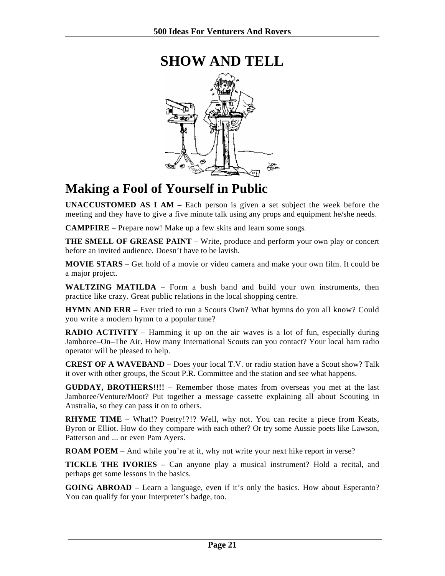

### <span id="page-20-0"></span>**SHOW AND TELL**

### **Making a Fool of Yourself in Public**

**UNACCUSTOMED AS I AM –** Each person is given a set subject the week before the meeting and they have to give a five minute talk using any props and equipment he/she needs.

**CAMPFIRE** – Prepare now! Make up a few skits and learn some songs.

**THE SMELL OF GREASE PAINT** – Write, produce and perform your own play or concert before an invited audience. Doesn't have to be lavish.

**MOVIE STARS** – Get hold of a movie or video camera and make your own film. It could be a major project.

**WALTZING MATILDA** – Form a bush band and build your own instruments, then practice like crazy. Great public relations in the local shopping centre.

**HYMN AND ERR** – Ever tried to run a Scouts Own? What hymns do you all know? Could you write a modern hymn to a popular tune?

**RADIO ACTIVITY** – Hamming it up on the air waves is a lot of fun, especially during Jamboree–On–The Air. How many International Scouts can you contact? Your local ham radio operator will be pleased to help.

**CREST OF A WAVEBAND** – Does your local T.V. or radio station have a Scout show? Talk it over with other groups, the Scout P.R. Committee and the station and see what happens.

**GUDDAY, BROTHERS!!!!** – Remember those mates from overseas you met at the last Jamboree/Venture/Moot? Put together a message cassette explaining all about Scouting in Australia, so they can pass it on to others.

**RHYME TIME** – What!? Poetry!?!? Well, why not. You can recite a piece from Keats, Byron or Elliot. How do they compare with each other? Or try some Aussie poets like Lawson, Patterson and ... or even Pam Ayers.

**ROAM POEM** – And while you're at it, why not write your next hike report in verse?

**TICKLE THE IVORIES** – Can anyone play a musical instrument? Hold a recital, and perhaps get some lessons in the basics.

**GOING ABROAD** – Learn a language, even if it's only the basics. How about Esperanto? You can qualify for your Interpreter's badge, too.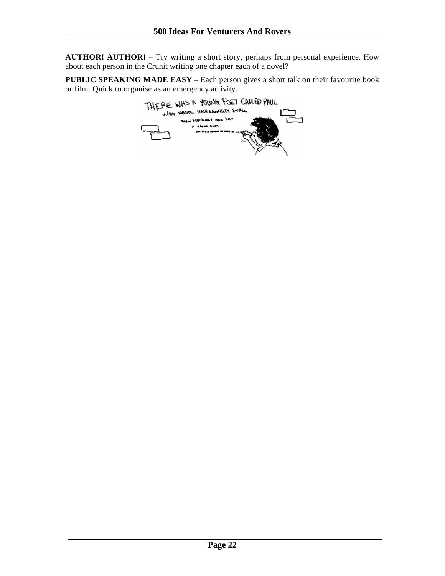**AUTHOR! AUTHOR!** – Try writing a short story, perhaps from personal experience. How about each person in the Crunit writing one chapter each of a novel?

**PUBLIC SPEAKING MADE EASY** – Each person gives a short talk on their favourite book

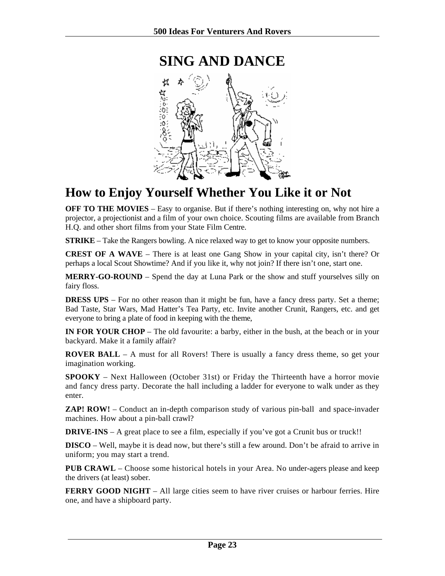<span id="page-22-0"></span>

### **How to Enjoy Yourself Whether You Like it or Not**

**OFF TO THE MOVIES** – Easy to organise. But if there's nothing interesting on, why not hire a projector, a projectionist and a film of your own choice. Scouting films are available from Branch H.Q. and other short films from your State Film Centre.

**STRIKE** – Take the Rangers bowling. A nice relaxed way to get to know your opposite numbers.

**CREST OF A WAVE** – There is at least one Gang Show in your capital city, isn't there? Or perhaps a local Scout Showtime? And if you like it, why not join? If there isn't one, start one.

**MERRY-GO-ROUND** – Spend the day at Luna Park or the show and stuff yourselves silly on fairy floss.

**DRESS UPS** – For no other reason than it might be fun, have a fancy dress party. Set a theme; Bad Taste, Star Wars, Mad Hatter's Tea Party, etc. Invite another Crunit, Rangers, etc. and get everyone to bring a plate of food in keeping with the theme,

**IN FOR YOUR CHOP** – The old favourite: a barby, either in the bush, at the beach or in your backyard. Make it a family affair?

**ROVER BALL** – A must for all Rovers! There is usually a fancy dress theme, so get your imagination working.

**SPOOKY** – Next Halloween (October 31st) or Friday the Thirteenth have a horror movie and fancy dress party. Decorate the hall including a ladder for everyone to walk under as they enter.

**ZAP! ROW!** – Conduct an in-depth comparison study of various pin-ball and space-invader machines. How about a pin-ball crawl?

**DRIVE-INS** – A great place to see a film, especially if you've got a Crunit bus or truck!!

**DISCO** – Well, maybe it is dead now, but there's still a few around. Don't be afraid to arrive in uniform; you may start a trend.

**PUB CRAWL** – Choose some historical hotels in your Area. No under-agers please and keep the drivers (at least) sober.

**FERRY GOOD NIGHT** – All large cities seem to have river cruises or harbour ferries. Hire one, and have a shipboard party.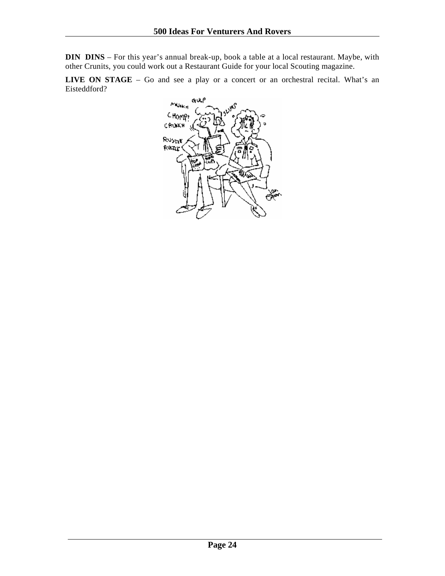**DIN DINS** – For this year's annual break-up, book a table at a local restaurant. Maybe, with other Crunits, you could work out a Restaurant Guide for your local Scouting magazine.

LIVE ON STAGE – Go and see a play or a concert or an orchestral recital. What's an Eisteddford?

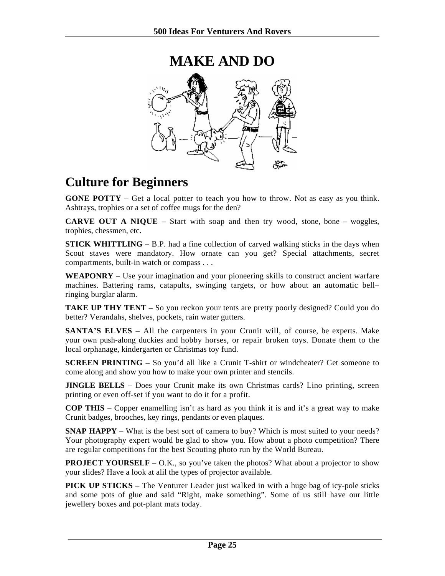<span id="page-24-0"></span>

### **Culture for Beginners**

**GONE POTTY** – Get a local potter to teach you how to throw. Not as easy as you think. Ashtrays, trophies or a set of coffee mugs for the den?

**CARVE OUT A NIQUE** – Start with soap and then try wood, stone, bone – woggles, trophies, chessmen, etc.

**STICK WHITTLING** – B.P. had a fine collection of carved walking sticks in the days when Scout staves were mandatory. How ornate can you get? Special attachments, secret compartments, built-in watch or compass . . .

**WEAPONRY** – Use your imagination and your pioneering skills to construct ancient warfare machines. Battering rams, catapults, swinging targets, or how about an automatic bell– ringing burglar alarm.

**TAKE UP THY TENT** – So you reckon your tents are pretty poorly designed? Could you do better? Verandahs, shelves, pockets, rain water gutters.

**SANTA'S ELVES** – All the carpenters in your Crunit will, of course, be experts. Make your own push-along duckies and hobby horses, or repair broken toys. Donate them to the local orphanage, kindergarten or Christmas toy fund.

**SCREEN PRINTING** – So you'd all like a Crunit T-shirt or windcheater? Get someone to come along and show you how to make your own printer and stencils.

**JINGLE BELLS** - Does your Crunit make its own Christmas cards? Lino printing, screen printing or even off-set if you want to do it for a profit.

**COP THIS** – Copper enamelling isn't as hard as you think it is and it's a great way to make Crunit badges, brooches, key rings, pendants or even plaques.

**SNAP HAPPY** – What is the best sort of camera to buy? Which is most suited to your needs? Your photography expert would be glad to show you. How about a photo competition? There are regular competitions for the best Scouting photo run by the World Bureau.

**PROJECT YOURSELF** – O.K., so you've taken the photos? What about a projector to show your slides? Have a look at alil the types of projector available.

**PICK UP STICKS** – The Venturer Leader just walked in with a huge bag of icy-pole sticks and some pots of glue and said "Right, make something". Some of us still have our little jewellery boxes and pot-plant mats today.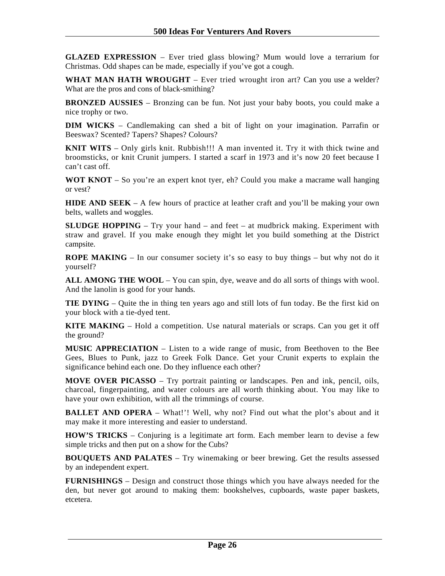**GLAZED EXPRESSION** – Ever tried glass blowing? Mum would love a terrarium for Christmas. Odd shapes can be made, especially if you've got a cough.

**WHAT MAN HATH WROUGHT** – Ever tried wrought iron art? Can you use a welder? What are the pros and cons of black-smithing?

**BRONZED AUSSIES** – Bronzing can be fun. Not just your baby boots, you could make a nice trophy or two.

**DIM WICKS** – Candlemaking can shed a bit of light on your imagination. Parrafin or Beeswax? Scented? Tapers? Shapes? Colours?

**KNIT WITS** – Only girls knit. Rubbish!!! A man invented it. Try it with thick twine and broomsticks, or knit Crunit jumpers. I started a scarf in 1973 and it's now 20 feet because I can't cast off.

**WOT KNOT** – So you're an expert knot tyer, eh? Could you make a macrame wall hanging or vest?

**HIDE AND SEEK** – A few hours of practice at leather craft and you'll be making your own belts, wallets and woggles.

**SLUDGE HOPPING** – Try your hand – and feet – at mudbrick making. Experiment with straw and gravel. If you make enough they might let you build something at the District campsite.

**ROPE MAKING** – In our consumer society it's so easy to buy things – but why not do it yourself?

**ALL AMONG THE WOOL** – You can spin, dye, weave and do all sorts of things with wool. And the lanolin is good for your hands.

**TIE DYING** – Quite the in thing ten years ago and still lots of fun today. Be the first kid on your block with a tie-dyed tent.

**KITE MAKING** – Hold a competition. Use natural materials or scraps. Can you get it off the ground?

**MUSIC APPRECIATION** – Listen to a wide range of music, from Beethoven to the Bee Gees, Blues to Punk, jazz to Greek Folk Dance. Get your Crunit experts to explain the significance behind each one. Do they influence each other?

**MOVE OVER PICASSO** – Try portrait painting or landscapes. Pen and ink, pencil, oils, charcoal, fingerpainting, and water colours are all worth thinking about. You may like to have your own exhibition, with all the trimmings of course.

**BALLET AND OPERA** – What!'! Well, why not? Find out what the plot's about and it may make it more interesting and easier to understand.

**HOW'S TRICKS** – Conjuring is a legitimate art form. Each member learn to devise a few simple tricks and then put on a show for the Cubs?

**BOUQUETS AND PALATES** – Try winemaking or beer brewing. Get the results assessed by an independent expert.

**FURNISHINGS** – Design and construct those things which you have always needed for the den, but never got around to making them: bookshelves, cupboards, waste paper baskets, etcetera.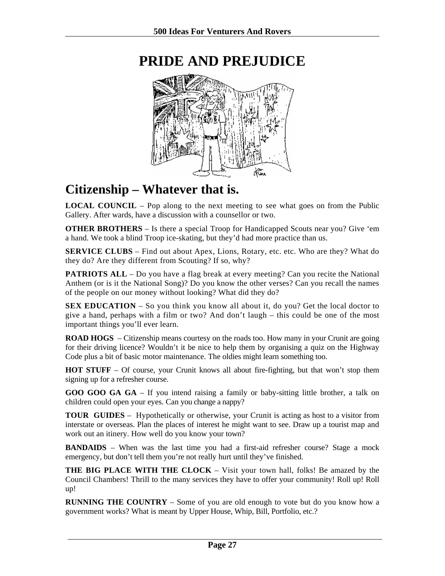

## <span id="page-26-0"></span>**PRIDE AND PREJUDICE**

### **Citizenship – Whatever that is.**

**LOCAL COUNCIL** – Pop along to the next meeting to see what goes on from the Public Gallery. After wards, have a discussion with a counsellor or two.

**OTHER BROTHERS** – Is there a special Troop for Handicapped Scouts near you? Give 'em a hand. We took a blind Troop ice-skating, but they'd had more practice than us.

**SERVICE CLUBS** – Find out about Apex, Lions, Rotary, etc. etc. Who are they? What do they do? Are they different from Scouting? If so, why?

**PATRIOTS ALL** – Do you have a flag break at every meeting? Can you recite the National Anthem (or is it the National Song)? Do you know the other verses? Can you recall the names of the people on our money without looking? What did they do?

**SEX EDUCATION** – So you think you know all about it, do you? Get the local doctor to give a hand, perhaps with a film or two? And don't laugh – this could be one of the most important things you'll ever learn.

**ROAD HOGS** – Citizenship means courtesy on the roads too. How many in your Crunit are going for their driving licence? Wouldn't it be nice to help them by organising a quiz on the Highway Code plus a bit of basic motor maintenance. The oldies might learn something too.

**HOT STUFF** – Of course, your Crunit knows all about fire-fighting, but that won't stop them signing up for a refresher course.

**GOO GOO GA GA** – If you intend raising a family or baby-sitting little brother, a talk on children could open your eyes. Can you change a nappy?

**TOUR GUIDES** – Hypothetically or otherwise, your Crunit is acting as host to a visitor from interstate or overseas. Plan the places of interest he might want to see. Draw up a tourist map and work out an itinery. How well do you know your town?

**BANDAIDS** – When was the last time you had a first-aid refresher course? Stage a mock emergency, but don't tell them you're not really hurt until they've finished.

**THE BIG PLACE WITH THE CLOCK** – Visit your town hall, folks! Be amazed by the Council Chambers! Thrill to the many services they have to offer your community! Roll up! Roll up!

**RUNNING THE COUNTRY** – Some of you are old enough to vote but do you know how a government works? What is meant by Upper House, Whip, Bill, Portfolio, etc.?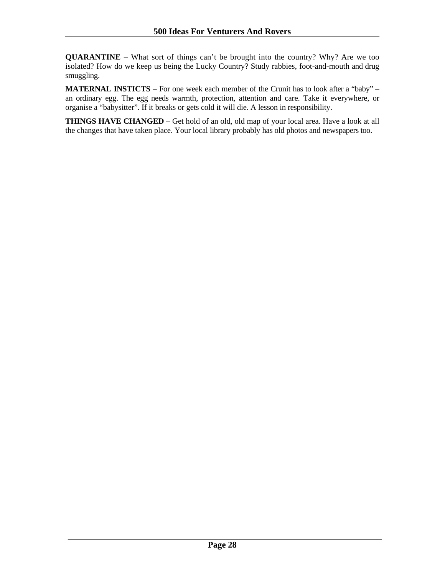**QUARANTINE** – What sort of things can't be brought into the country? Why? Are we too isolated? How do we keep us being the Lucky Country? Study rabbies, foot-and-mouth and drug smuggling.

**MATERNAL INSTICTS** – For one week each member of the Crunit has to look after a "baby" – an ordinary egg. The egg needs warmth, protection, attention and care. Take it everywhere, or organise a "babysitter". If it breaks or gets cold it will die. A lesson in responsibility.

**THINGS HAVE CHANGED** – Get hold of an old, old map of your local area. Have a look at all the changes that have taken place. Your local library probably has old photos and newspapers too.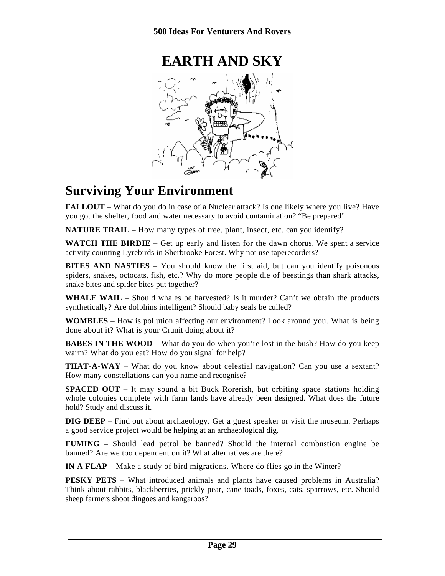<span id="page-28-0"></span>

### **Surviving Your Environment**

**FALLOUT** – What do you do in case of a Nuclear attack? Is one likely where you live? Have you got the shelter, food and water necessary to avoid contamination? "Be prepared".

**NATURE TRAIL** – How many types of tree, plant, insect, etc. can you identify?

**WATCH THE BIRDIE –** Get up early and listen for the dawn chorus. We spent a service activity counting Lyrebirds in Sherbrooke Forest. Why not use taperecorders?

**BITES AND NASTIES** – You should know the first aid, but can you identify poisonous spiders, snakes, octocats, fish, etc.? Why do more people die of beestings than shark attacks, snake bites and spider bites put together?

**WHALE WAIL** – Should whales be harvested? Is it murder? Can't we obtain the products synthetically? Are dolphins intelligent? Should baby seals be culled?

**WOMBLES** – How is pollution affecting our environment? Look around you. What is being done about it? What is your Crunit doing about it?

**BABES IN THE WOOD** – What do you do when you're lost in the bush? How do you keep warm? What do you eat? How do you signal for help?

**THAT-A-WAY** – What do you know about celestial navigation? Can you use a sextant? How many constellations can you name and recognise?

**SPACED OUT** – It may sound a bit Buck Rorerish, but orbiting space stations holding whole colonies complete with farm lands have already been designed. What does the future hold? Study and discuss it.

**DIG DEEP** – Find out about archaeology. Get a guest speaker or visit the museum. Perhaps a good service project would be helping at an archaeological dig.

**FUMING** – Should lead petrol be banned? Should the internal combustion engine be banned? Are we too dependent on it? What alternatives are there?

**IN A FLAP** – Make a study of bird migrations. Where do flies go in the Winter?

**PESKY PETS** – What introduced animals and plants have caused problems in Australia? Think about rabbits, blackberries, prickly pear, cane toads, foxes, cats, sparrows, etc. Should sheep farmers shoot dingoes and kangaroos?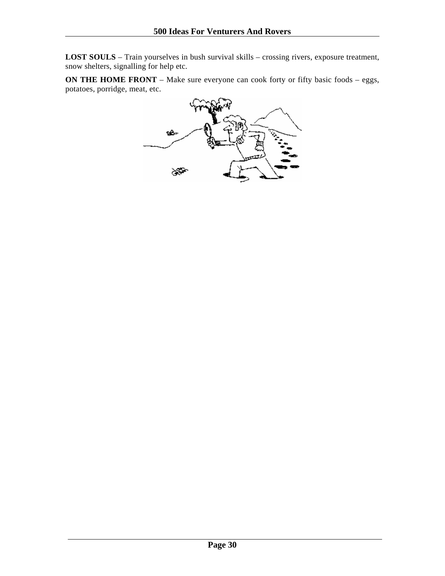**LOST SOULS** – Train yourselves in bush survival skills – crossing rivers, exposure treatment, snow shelters, signalling for help etc.

**ON THE HOME FRONT** – Make sure everyone can cook forty or fifty basic foods – eggs, potatoes, porridge, meat, etc.

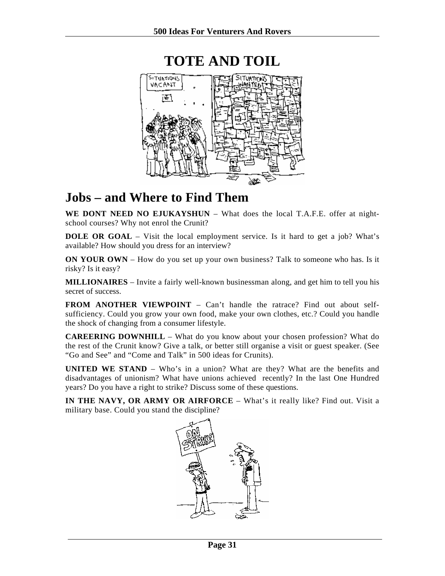<span id="page-30-0"></span>

### **Jobs – and Where to Find Them**

**WE DONT NEED NO EJUKAYSHUN** – What does the local T.A.F.E. offer at nightschool courses? Why not enrol the Crunit?

**DOLE OR GOAL** – Visit the local employment service. Is it hard to get a job? What's available? How should you dress for an interview?

**ON YOUR OWN** *–* How do you set up your own business? Talk to someone who has. Is it risky? Is it easy?

**MILLIONAIRES** – Invite a fairly well-known businessman along, and get him to tell you his secret of success.

**FROM ANOTHER VIEWPOINT** – Can't handle the ratrace? Find out about selfsufficiency. Could you grow your own food, make your own clothes, etc.? Could you handle the shock of changing from a consumer lifestyle.

**CAREERING DOWNHILL** – What do you know about your chosen profession? What do the rest of the Crunit know? Give a talk, or better still organise a visit or guest speaker. (See "Go and See" and "Come and Talk" in 500 ideas for Crunits).

**UNITED WE STAND** – Who's in a union? What are they? What are the benefits and disadvantages of unionism? What have unions achieved recently? In the last One Hundred years? Do you have a right to strike? Discuss some of these questions.

**IN THE NAVY, OR ARMY OR AIRFORCE** – What's it really like? Find out. Visit a military base. Could you stand the discipline?

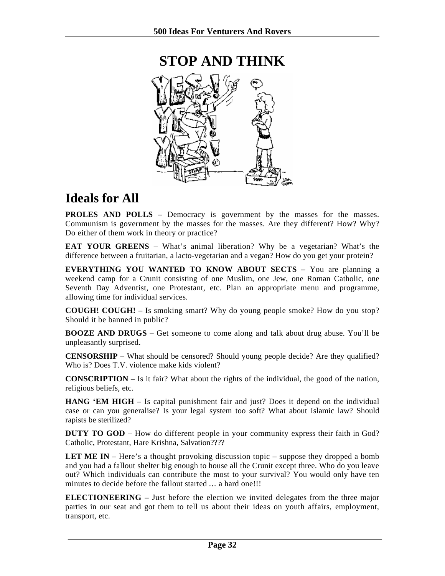<span id="page-31-0"></span>

### **Ideals for All**

**PROLES AND POLLS – Democracy is government by the masses for the masses.** Communism is government by the masses for the masses. Are they different? How? Why? Do either of them work in theory or practice?

**EAT YOUR GREENS** – What's animal liberation? Why be a vegetarian? What's the difference between a fruitarian, a lacto-vegetarian and a vegan? How do you get your protein?

**EVERYTHING YOU WANTED TO KNOW ABOUT SECTS –** You are planning a weekend camp for a Crunit consisting of one Muslim, one Jew, one Roman Catholic, one Seventh Day Adventist, one Protestant, etc. Plan an appropriate menu and programme, allowing time for individual services.

**COUGH! COUGH!** – Is smoking smart? Why do young people smoke? How do you stop? Should it be banned in public?

**BOOZE AND DRUGS** – Get someone to come along and talk about drug abuse. You'll be unpleasantly surprised.

**CENSORSHIP** – What should be censored? Should young people decide? Are they qualified? Who is? Does T.V. violence make kids violent?

**CONSCRIPTION** – Is it fair? What about the rights of the individual, the good of the nation, religious beliefs, etc.

**HANG 'EM HIGH** – Is capital punishment fair and just? Does it depend on the individual case or can you generalise? Is your legal system too soft? What about Islamic law? Should rapists be sterilized?

**DUTY TO GOD** – How do different people in your community express their faith in God? Catholic, Protestant, Hare Krishna, Salvation????

**LET ME IN** – Here's a thought provoking discussion topic – suppose they dropped a bomb and you had a fallout shelter big enough to house all the Crunit except three. Who do you leave out? Which individuals can contribute the most to your survival? You would only have ten minutes to decide before the fallout started ... a hard one!!!

**ELECTIONEERING –** Just before the election we invited delegates from the three major parties in our seat and got them to tell us about their ideas on youth affairs, employment, transport, etc.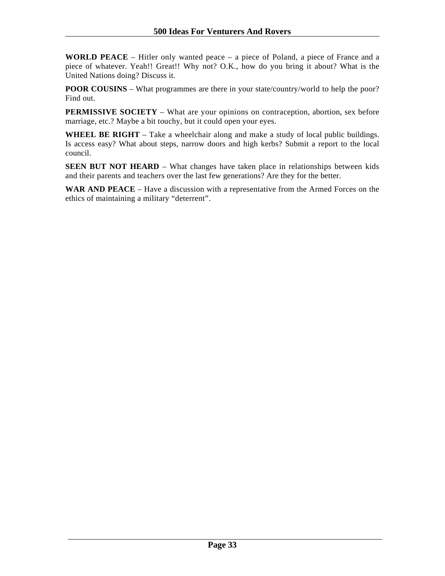**WORLD PEACE** – Hitler only wanted peace – a piece of Poland, a piece of France and a piece of whatever. Yeah!! Great!! Why not? O.K., how do you bring it about? What is the United Nations doing? Discuss it.

**POOR COUSINS** – What programmes are there in your state/country/world to help the poor? Find out.

**PERMISSIVE SOCIETY** – What are your opinions on contraception, abortion, sex before marriage, etc.? Maybe a bit touchy, but it could open your eyes.

WHEEL BE RIGHT – Take a wheelchair along and make a study of local public buildings. Is access easy? What about steps, narrow doors and high kerbs? Submit a report to the local council.

**SEEN BUT NOT HEARD** – What changes have taken place in relationships between kids and their parents and teachers over the last few generations? Are they for the better.

**WAR AND PEACE** – Have a discussion with a representative from the Armed Forces on the ethics of maintaining a military "deterrent".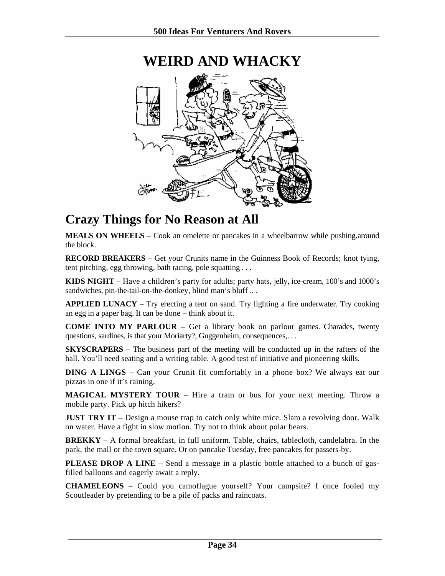<span id="page-33-0"></span>

# **WEIRD AND WHACKY**

### **Crazy Things for No Reason at All**

**MEALS ON WHEELS** – Cook an omelette or pancakes in a wheelbarrow while pushing.around the block.

**RECORD BREAKERS** – Get your Crunits name in the Guinness Book of Records; knot tying, tent pitching, egg throwing, bath racing, pole squatting . . .

**KIDS NIGHT** – Have a children's party for adults; party hats, jelly, ice-cream, 100's and 1000's sandwiches, pin-the-tail-on-the-donkey, blind man's bluff ...

**APPLIED LUNACY** – Try erecting a tent on sand. Try lighting a fire underwater. Try cooking an egg in a paper bag. It can be done – think about it.

**COME INTO MY PARLOUR** – Get a library book on parlour games. Charades, twenty questions, sardines, is that your Moriarty?, Guggenheim, consequences,...

**SKYSCRAPERS** – The business part of the meeting will be conducted up in the rafters of the hall. You'll need seating and a writing table. A good test of initiative and pioneering skills.

**DING A LINGS** – Can your Crunit fit comfortably in a phone box? We always eat our pizzas in one if it's raining.

**MAGICAL MYSTERY TOUR** – Hire a tram or bus for your next meeting. Throw a mobile party. Pick up hitch hikers?

**JUST TRY IT** – Design a mouse trap to catch only white mice. Slam a revolving door. Walk on water. Have a fight in slow motion. Try not to think about polar bears.

**BREKKY** – A formal breakfast, in full uniform. Table, chairs, tablecloth, candelabra. In the park, the mall or the town square. Or on pancake Tuesday, free pancakes for passers-by.

**PLEASE DROP A LINE** – Send a message in a plastic bottle attached to a bunch of gasfilled balloons and eagerly await a reply.

**CHAMELEONS** – Could you camoflague yourself? Your campsite? I once fooled my Scoutleader by pretending to be a pile of packs and raincoats.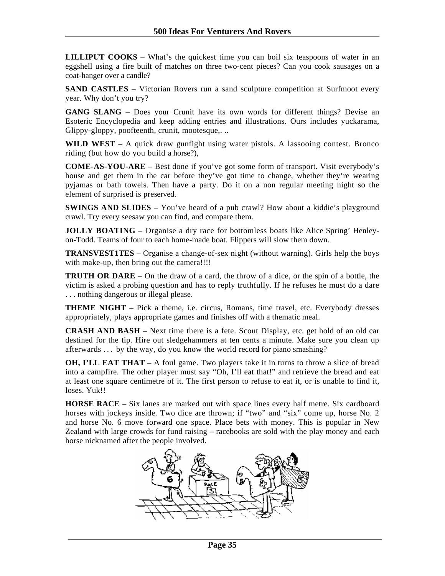**LILLIPUT COOKS** – What's the quickest time you can boil six teaspoons of water in an eggshell using a fire built of matches on three two-cent pieces? Can you cook sausages on a coat-hanger over a candle?

**SAND CASTLES** – Victorian Rovers run a sand sculpture competition at Surfmoot every year. Why don't you try?

GANG SLANG – Does your Crunit have its own words for different things? Devise an Esoteric Encyclopedia and keep adding entries and illustrations. Ours includes yuckarama, Glippy-gloppy, poofteenth, crunit, mootesque,. ..

**WILD WEST** – A quick draw gunfight using water pistols. A lassooing contest. Bronco riding (but how do you build a horse?),

**COME-AS-YOU-ARE** – Best done if you've got some form of transport. Visit everybody's house and get them in the car before they've got time to change, whether they're wearing pyjamas or bath towels. Then have a party. Do it on a non regular meeting night so the element of surprised is preserved.

**SWINGS AND SLIDES** – You've heard of a pub crawl? How about a kiddie's playground crawl. Try every seesaw you can find, and compare them.

**JOLLY BOATING** – Organise a dry race for bottomless boats like Alice Spring' Henleyon-Todd. Teams of four to each home-made boat. Flippers will slow them down.

**TRANSVEST1TES** – Organise a change-of-sex night (without warning). Girls help the boys with make-up, then bring out the camera!!!!

**TRUTH OR DARE** – On the draw of a card, the throw of a dice, or the spin of a bottle, the victim is asked a probing question and has to reply truthfully. If he refuses he must do a dare . . . nothing dangerous or illegal please.

**THEME NIGHT** – Pick a theme, i.e. circus, Romans, time travel, etc. Everybody dresses appropriately, plays appropriate games and finishes off with a thematic meal.

**CRASH AND BASH** – Next time there is a fete. Scout Display, etc. get hold of an old car destined for the tip. Hire out sledgehammers at ten cents a minute. Make sure you clean up afterwards . . . by the way, do you know the world record for piano smashing?

**OH, I'LL EAT THAT** – A foul game. Two players take it in turns to throw a slice of bread into a campfire. The other player must say "Oh, I'll eat that!" and retrieve the bread and eat at least one square centimetre of it. The first person to refuse to eat it, or is unable to find it, loses. Yuk!!

**HORSE RACE** – Six lanes are marked out with space lines every half metre. Six cardboard horses with jockeys inside. Two dice are thrown; if "two" and "six" come up, horse No. 2 and horse No. 6 move forward one space. Place bets with money. This is popular in New Zealand with large crowds for fund raising – racebooks are sold with the play money and each horse nicknamed after the people involved.

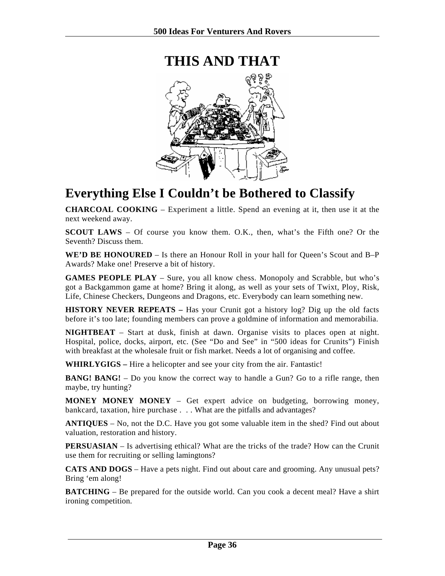<span id="page-35-0"></span>

### **Everything Else I Couldn't be Bothered to Classify**

**CHARCOAL COOKING** – Experiment a little. Spend an evening at it, then use it at the next weekend away.

**SCOUT LAWS** – Of course you know them. O.K., then, what's the Fifth one? Or the Seventh? Discuss them.

**WE'D BE HONOURED** – Is there an Honour Roll in your hall for Queen's Scout and B–P Awards? Make one! Preserve a bit of history.

**GAMES PEOPLE PLAY** – Sure, you all know chess. Monopoly and Scrabble, but who's got a Backgammon game at home? Bring it along, as well as your sets of Twixt, Ploy, Risk, Life, Chinese Checkers, Dungeons and Dragons, etc. Everybody can learn something new.

**HISTORY NEVER REPEATS –** Has your Crunit got a history log? Dig up the old facts before it's too late; founding members can prove a goldmine of information and memorabilia.

**NIGHTBEAT** – Start at dusk, finish at dawn. Organise visits to places open at night. Hospital, police, docks, airport, etc. (See "Do and See" in "500 ideas for Crunits") Finish with breakfast at the wholesale fruit or fish market. Needs a lot of organising and coffee.

**WHIRLYGIGS –** Hire a helicopter and see your city from the air. Fantastic!

**BANG! BANG!** – Do you know the correct way to handle a Gun? Go to a rifle range, then maybe, try hunting?

**MONEY MONEY MONEY** – Get expert advice on budgeting, borrowing money, bankcard, taxation, hire purchase . . . What are the pitfalls and advantages?

**ANTIQUES** – No, not the D.C. Have you got some valuable item in the shed? Find out about valuation, restoration and history.

**PERSUASIAN** – Is advertising ethical? What are the tricks of the trade? How can the Crunit use them for recruiting or selling lamingtons?

**CATS AND DOGS** – Have a pets night. Find out about care and grooming. Any unusual pets? Bring 'em along!

**BATCHING** *–* Be prepared for the outside world. Can you cook a decent meal? Have a shirt ironing competition.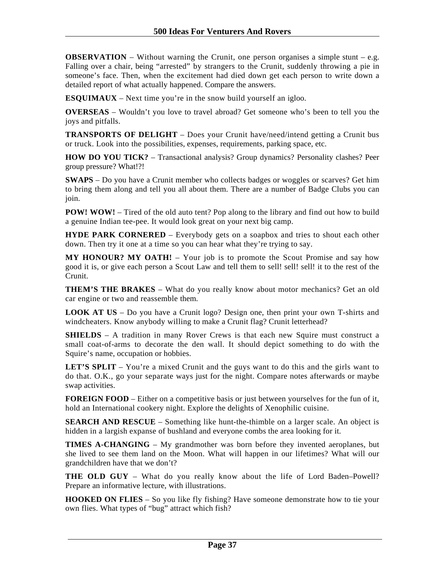**OBSERVATION** – Without warning the Crunit, one person organises a simple stunt – e.g. Falling over a chair, being "arrested" by strangers to the Crunit, suddenly throwing a pie in someone's face. Then, when the excitement had died down get each person to write down a detailed report of what actually happened. Compare the answers.

**ESQUIMAUX** – Next time you're in the snow build yourself an igloo.

**OVERSEAS** – Wouldn't you love to travel abroad? Get someone who's been to tell you the joys and pitfalls.

**TRANSPORTS OF DELIGHT** – Does your Crunit have/need/intend getting a Crunit bus or truck. Look into the possibilities, expenses, requirements, parking space, etc.

**HOW DO YOU TICK?** – Transactional analysis? Group dynamics? Personality clashes? Peer group pressure? What!?!

**SWAPS** – Do you have a Crunit member who collects badges or woggles or scarves? Get him to bring them along and tell you all about them. There are a number of Badge Clubs you can join.

**POW! WOW!** – Tired of the old auto tent? Pop along to the library and find out how to build a genuine Indian tee-pee. It would look great on your next big camp.

**HYDE PARK CORNERED** – Everybody gets on a soapbox and tries to shout each other down. Then try it one at a time so you can hear what they're trying to say.

**MY HONOUR? MY OATH!** – Your job is to promote the Scout Promise and say how good it is, or give each person a Scout Law and tell them to sell! sell! sell! it to the rest of the Crunit.

**THEM'S THE BRAKES** – What do you really know about motor mechanics? Get an old car engine or two and reassemble them.

**LOOK AT US** – Do you have a Crunit logo? Design one, then print your own T-shirts and windcheaters. Know anybody willing to make a Crunit flag? Crunit letterhead?

**SHIELDS** – A tradition in many Rover Crews is that each new Squire must construct a small coat-of-arms to decorate the den wall. It should depict something to do with the Squire's name, occupation or hobbies.

**LET'S SPLIT** – You're a mixed Crunit and the guys want to do this and the girls want to do that. O.K., go your separate ways just for the night. Compare notes afterwards or maybe swap activities.

**FOREIGN FOOD** – Either on a competitive basis or just between yourselves for the fun of it, hold an International cookery night. Explore the delights of Xenophilic cuisine.

**SEARCH AND RESCUE** – Something like hunt-the-thimble on a larger scale. An object is hidden in a largish expanse of bushland and everyone combs the area looking for it.

**TIMES A-CHANGING** – My grandmother was born before they invented aeroplanes, but she lived to see them land on the Moon. What will happen in our lifetimes? What will our grandchildren have that we don't?

**THE OLD GUY** – What do you really know about the life of Lord Baden–Powell? Prepare an informative lecture, with illustrations.

**HOOKED ON FLIES** – So you like fly fishing? Have someone demonstrate how to tie your own flies. What types of "bug" attract which fish?